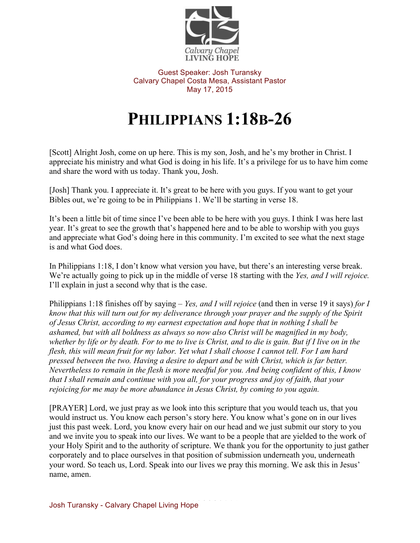

Guest Speaker: Josh Turansky Calvary Chapel Costa Mesa, Assistant Pastor May 17, 2015

## **PHILIPPIANS 1:18B-26**

[Scott] Alright Josh, come on up here. This is my son, Josh, and he's my brother in Christ. I appreciate his ministry and what God is doing in his life. It's a privilege for us to have him come and share the word with us today. Thank you, Josh.

[Josh] Thank you. I appreciate it. It's great to be here with you guys. If you want to get your Bibles out, we're going to be in Philippians 1. We'll be starting in verse 18.

It's been a little bit of time since I've been able to be here with you guys. I think I was here last year. It's great to see the growth that's happened here and to be able to worship with you guys and appreciate what God's doing here in this community. I'm excited to see what the next stage is and what God does.

In Philippians 1:18, I don't know what version you have, but there's an interesting verse break. We're actually going to pick up in the middle of verse 18 starting with the *Yes, and I will rejoice.*  I'll explain in just a second why that is the case.

Philippians 1:18 finishes off by saying – *Yes, and I will rejoice* (and then in verse 19 it says) *for I know that this will turn out for my deliverance through your prayer and the supply of the Spirit of Jesus Christ, according to my earnest expectation and hope that in nothing I shall be ashamed, but with all boldness as always so now also Christ will be magnified in my body, whether by life or by death. For to me to live is Christ, and to die is gain. But if I live on in the flesh, this will mean fruit for my labor. Yet what I shall choose I cannot tell. For I am hard pressed between the two. Having a desire to depart and be with Christ, which is far better. Nevertheless to remain in the flesh is more needful for you. And being confident of this, I know that I shall remain and continue with you all, for your progress and joy of faith, that your rejoicing for me may be more abundance in Jesus Christ, by coming to you again.* 

[PRAYER] Lord, we just pray as we look into this scripture that you would teach us, that you would instruct us. You know each person's story here. You know what's gone on in our lives just this past week. Lord, you know every hair on our head and we just submit our story to you and we invite you to speak into our lives. We want to be a people that are yielded to the work of your Holy Spirit and to the authority of scripture. We thank you for the opportunity to just gather corporately and to place ourselves in that position of submission underneath you, underneath your word. So teach us, Lord. Speak into our lives we pray this morning. We ask this in Jesus' name, amen.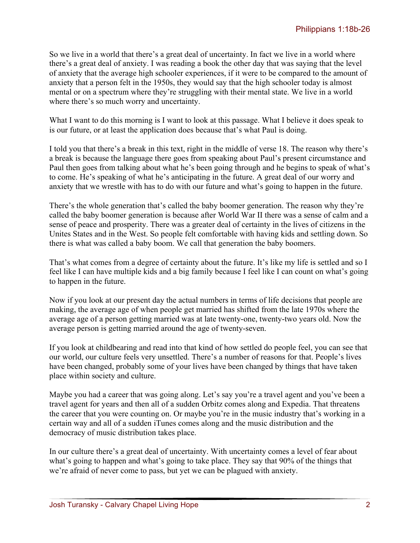So we live in a world that there's a great deal of uncertainty. In fact we live in a world where there's a great deal of anxiety. I was reading a book the other day that was saying that the level of anxiety that the average high schooler experiences, if it were to be compared to the amount of anxiety that a person felt in the 1950s, they would say that the high schooler today is almost mental or on a spectrum where they're struggling with their mental state. We live in a world where there's so much worry and uncertainty.

What I want to do this morning is I want to look at this passage. What I believe it does speak to is our future, or at least the application does because that's what Paul is doing.

I told you that there's a break in this text, right in the middle of verse 18. The reason why there's a break is because the language there goes from speaking about Paul's present circumstance and Paul then goes from talking about what he's been going through and he begins to speak of what's to come. He's speaking of what he's anticipating in the future. A great deal of our worry and anxiety that we wrestle with has to do with our future and what's going to happen in the future.

There's the whole generation that's called the baby boomer generation. The reason why they're called the baby boomer generation is because after World War II there was a sense of calm and a sense of peace and prosperity. There was a greater deal of certainty in the lives of citizens in the Unites States and in the West. So people felt comfortable with having kids and settling down. So there is what was called a baby boom. We call that generation the baby boomers.

That's what comes from a degree of certainty about the future. It's like my life is settled and so I feel like I can have multiple kids and a big family because I feel like I can count on what's going to happen in the future.

Now if you look at our present day the actual numbers in terms of life decisions that people are making, the average age of when people get married has shifted from the late 1970s where the average age of a person getting married was at late twenty-one, twenty-two years old. Now the average person is getting married around the age of twenty-seven.

If you look at childbearing and read into that kind of how settled do people feel, you can see that our world, our culture feels very unsettled. There's a number of reasons for that. People's lives have been changed, probably some of your lives have been changed by things that have taken place within society and culture.

Maybe you had a career that was going along. Let's say you're a travel agent and you've been a travel agent for years and then all of a sudden Orbitz comes along and Expedia. That threatens the career that you were counting on. Or maybe you're in the music industry that's working in a certain way and all of a sudden iTunes comes along and the music distribution and the democracy of music distribution takes place.

In our culture there's a great deal of uncertainty. With uncertainty comes a level of fear about what's going to happen and what's going to take place. They say that 90% of the things that we're afraid of never come to pass, but yet we can be plagued with anxiety.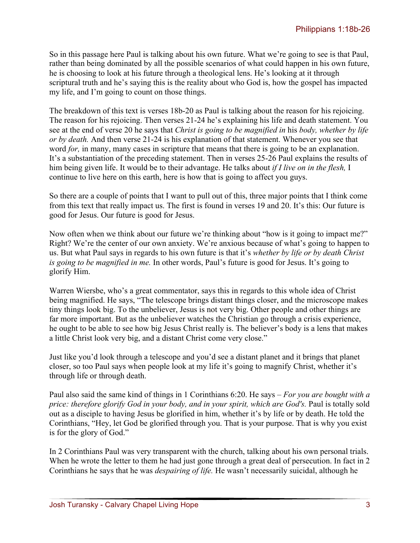So in this passage here Paul is talking about his own future. What we're going to see is that Paul, rather than being dominated by all the possible scenarios of what could happen in his own future, he is choosing to look at his future through a theological lens. He's looking at it through scriptural truth and he's saying this is the reality about who God is, how the gospel has impacted my life, and I'm going to count on those things.

The breakdown of this text is verses 18b-20 as Paul is talking about the reason for his rejoicing. The reason for his rejoicing. Then verses 21-24 he's explaining his life and death statement. You see at the end of verse 20 he says that *Christ is going to be magnified in* his *body, whether by life or by death.* And then verse 21-24 is his explanation of that statement. Whenever you see that word *for*, in many, many cases in scripture that means that there is going to be an explanation. It's a substantiation of the preceding statement. Then in verses 25-26 Paul explains the results of him being given life. It would be to their advantage. He talks about *if I live on in the flesh,* I continue to live here on this earth, here is how that is going to affect you guys.

So there are a couple of points that I want to pull out of this, three major points that I think come from this text that really impact us. The first is found in verses 19 and 20. It's this: Our future is good for Jesus. Our future is good for Jesus.

Now often when we think about our future we're thinking about "how is it going to impact me?" Right? We're the center of our own anxiety. We're anxious because of what's going to happen to us. But what Paul says in regards to his own future is that it's *whether by life or by death Christ is going to be magnified in me.* In other words, Paul's future is good for Jesus. It's going to glorify Him.

Warren Wiersbe, who's a great commentator, says this in regards to this whole idea of Christ being magnified. He says, "The telescope brings distant things closer, and the microscope makes tiny things look big. To the unbeliever, Jesus is not very big. Other people and other things are far more important. But as the unbeliever watches the Christian go through a crisis experience, he ought to be able to see how big Jesus Christ really is. The believer's body is a lens that makes a little Christ look very big, and a distant Christ come very close."

Just like you'd look through a telescope and you'd see a distant planet and it brings that planet closer, so too Paul says when people look at my life it's going to magnify Christ, whether it's through life or through death.

Paul also said the same kind of things in 1 Corinthians 6:20. He says – *For you are bought with a price: therefore glorify God in your body, and in your spirit, which are God's. Paul is totally sold* out as a disciple to having Jesus be glorified in him, whether it's by life or by death. He told the Corinthians, "Hey, let God be glorified through you. That is your purpose. That is why you exist is for the glory of God."

In 2 Corinthians Paul was very transparent with the church, talking about his own personal trials. When he wrote the letter to them he had just gone through a great deal of persecution. In fact in 2 Corinthians he says that he was *despairing of life.* He wasn't necessarily suicidal, although he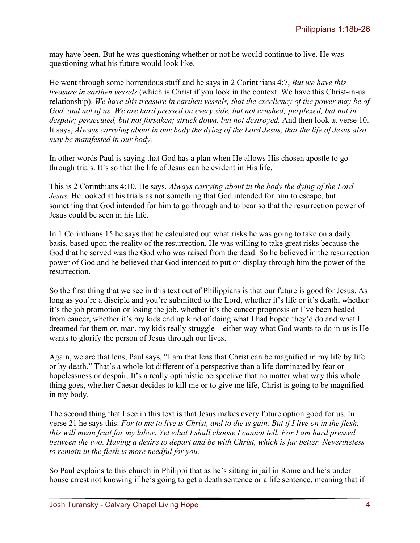may have been. But he was questioning whether or not he would continue to live. He was questioning what his future would look like.

He went through some horrendous stuff and he says in 2 Corinthians 4:7, *But we have this treasure in earthen vessels* (which is Christ if you look in the context. We have this Christ-in-us relationship). *We have this treasure in earthen vessels, that the excellency of the power may be of God, and not of us. We are hard pressed on every side, but not crushed; perplexed, but not in despair; persecuted, but not forsaken; struck down, but not destroyed.* And then look at verse 10. It says, *Always carrying about in our body the dying of the Lord Jesus, that the life of Jesus also may be manifested in our body.* 

In other words Paul is saying that God has a plan when He allows His chosen apostle to go through trials. It's so that the life of Jesus can be evident in His life.

This is 2 Corinthians 4:10. He says, *Always carrying about in the body the dying of the Lord Jesus.* He looked at his trials as not something that God intended for him to escape, but something that God intended for him to go through and to bear so that the resurrection power of Jesus could be seen in his life.

In 1 Corinthians 15 he says that he calculated out what risks he was going to take on a daily basis, based upon the reality of the resurrection. He was willing to take great risks because the God that he served was the God who was raised from the dead. So he believed in the resurrection power of God and he believed that God intended to put on display through him the power of the resurrection.

So the first thing that we see in this text out of Philippians is that our future is good for Jesus. As long as you're a disciple and you're submitted to the Lord, whether it's life or it's death, whether it's the job promotion or losing the job, whether it's the cancer prognosis or I've been healed from cancer, whether it's my kids end up kind of doing what I had hoped they'd do and what I dreamed for them or, man, my kids really struggle – either way what God wants to do in us is He wants to glorify the person of Jesus through our lives.

Again, we are that lens, Paul says, "I am that lens that Christ can be magnified in my life by life or by death." That's a whole lot different of a perspective than a life dominated by fear or hopelessness or despair. It's a really optimistic perspective that no matter what way this whole thing goes, whether Caesar decides to kill me or to give me life, Christ is going to be magnified in my body.

The second thing that I see in this text is that Jesus makes every future option good for us. In verse 21 he says this: *For to me to live is Christ, and to die is gain. But if I live on in the flesh, this will mean fruit for my labor. Yet what I shall choose I cannot tell. For I am hard pressed between the two. Having a desire to depart and be with Christ, which is far better. Nevertheless to remain in the flesh is more needful for you.* 

So Paul explains to this church in Philippi that as he's sitting in jail in Rome and he's under house arrest not knowing if he's going to get a death sentence or a life sentence, meaning that if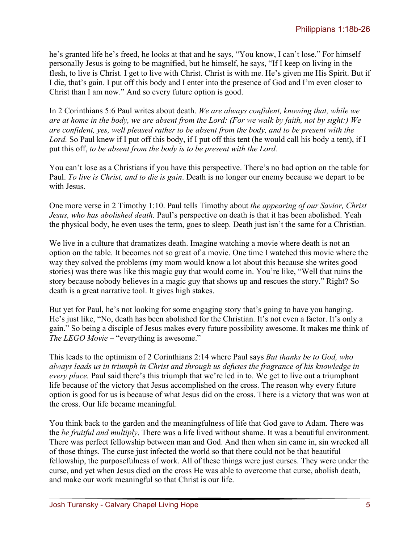he's granted life he's freed, he looks at that and he says, "You know, I can't lose." For himself personally Jesus is going to be magnified, but he himself, he says, "If I keep on living in the flesh, to live is Christ. I get to live with Christ. Christ is with me. He's given me His Spirit. But if I die, that's gain. I put off this body and I enter into the presence of God and I'm even closer to Christ than I am now." And so every future option is good.

In 2 Corinthians 5:6 Paul writes about death. *We are always confident, knowing that, while we are at home in the body, we are absent from the Lord: (For we walk by faith, not by sight:) We are confident, yes, well pleased rather to be absent from the body, and to be present with the Lord.* So Paul knew if I put off this body, if I put off this tent (he would call his body a tent), if I put this off, *to be absent from the body is to be present with the Lord.* 

You can't lose as a Christians if you have this perspective. There's no bad option on the table for Paul. *To live is Christ, and to die is gain*. Death is no longer our enemy because we depart to be with Jesus.

One more verse in 2 Timothy 1:10. Paul tells Timothy about *the appearing of our Savior, Christ Jesus, who has abolished death.* Paul's perspective on death is that it has been abolished. Yeah the physical body, he even uses the term, goes to sleep. Death just isn't the same for a Christian.

We live in a culture that dramatizes death. Imagine watching a movie where death is not an option on the table. It becomes not so great of a movie. One time I watched this movie where the way they solved the problems (my mom would know a lot about this because she writes good stories) was there was like this magic guy that would come in. You're like, "Well that ruins the story because nobody believes in a magic guy that shows up and rescues the story." Right? So death is a great narrative tool. It gives high stakes.

But yet for Paul, he's not looking for some engaging story that's going to have you hanging. He's just like, "No, death has been abolished for the Christian. It's not even a factor. It's only a gain." So being a disciple of Jesus makes every future possibility awesome. It makes me think of *The LEGO Movie* – "everything is awesome."

This leads to the optimism of 2 Corinthians 2:14 where Paul says *But thanks be to God, who always leads us in triumph in Christ and through us defuses the fragrance of his knowledge in every place.* Paul said there's this triumph that we're led in to. We get to live out a triumphant life because of the victory that Jesus accomplished on the cross. The reason why every future option is good for us is because of what Jesus did on the cross. There is a victory that was won at the cross. Our life became meaningful.

You think back to the garden and the meaningfulness of life that God gave to Adam. There was the *be fruitful and multiply*. There was a life lived without shame. It was a beautiful environment. There was perfect fellowship between man and God. And then when sin came in, sin wrecked all of those things. The curse just infected the world so that there could not be that beautiful fellowship, the purposefulness of work. All of these things were just curses. They were under the curse, and yet when Jesus died on the cross He was able to overcome that curse, abolish death, and make our work meaningful so that Christ is our life.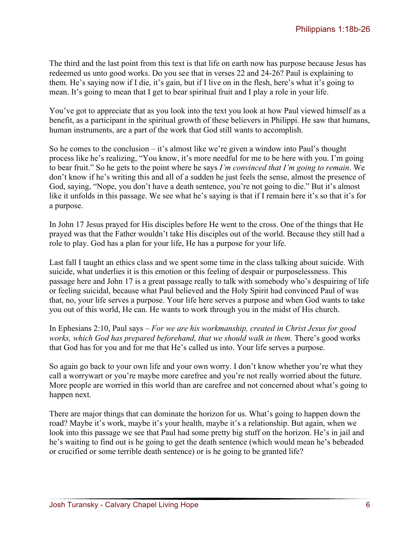The third and the last point from this text is that life on earth now has purpose because Jesus has redeemed us unto good works. Do you see that in verses 22 and 24-26? Paul is explaining to them. He's saying now if I die, it's gain, but if I live on in the flesh, here's what it's going to mean. It's going to mean that I get to bear spiritual fruit and I play a role in your life.

You've got to appreciate that as you look into the text you look at how Paul viewed himself as a benefit, as a participant in the spiritual growth of these believers in Philippi. He saw that humans, human instruments, are a part of the work that God still wants to accomplish.

So he comes to the conclusion – it's almost like we're given a window into Paul's thought process like he's realizing, "You know, it's more needful for me to be here with you. I'm going to bear fruit." So he gets to the point where he says *I'm convinced that I'm going to remain*. We don't know if he's writing this and all of a sudden he just feels the sense, almost the presence of God, saying, "Nope, you don't have a death sentence, you're not going to die." But it's almost like it unfolds in this passage. We see what he's saying is that if I remain here it's so that it's for a purpose.

In John 17 Jesus prayed for His disciples before He went to the cross. One of the things that He prayed was that the Father wouldn't take His disciples out of the world. Because they still had a role to play. God has a plan for your life, He has a purpose for your life.

Last fall I taught an ethics class and we spent some time in the class talking about suicide. With suicide, what underlies it is this emotion or this feeling of despair or purposelessness. This passage here and John 17 is a great passage really to talk with somebody who's despairing of life or feeling suicidal, because what Paul believed and the Holy Spirit had convinced Paul of was that, no, your life serves a purpose. Your life here serves a purpose and when God wants to take you out of this world, He can. He wants to work through you in the midst of His church.

In Ephesians 2:10, Paul says – *For we are his workmanship, created in Christ Jesus for good works, which God has prepared beforehand, that we should walk in them.* There's good works that God has for you and for me that He's called us into. Your life serves a purpose.

So again go back to your own life and your own worry. I don't know whether you're what they call a worrywart or you're maybe more carefree and you're not really worried about the future. More people are worried in this world than are carefree and not concerned about what's going to happen next.

There are major things that can dominate the horizon for us. What's going to happen down the road? Maybe it's work, maybe it's your health, maybe it's a relationship. But again, when we look into this passage we see that Paul had some pretty big stuff on the horizon. He's in jail and he's waiting to find out is he going to get the death sentence (which would mean he's beheaded or crucified or some terrible death sentence) or is he going to be granted life?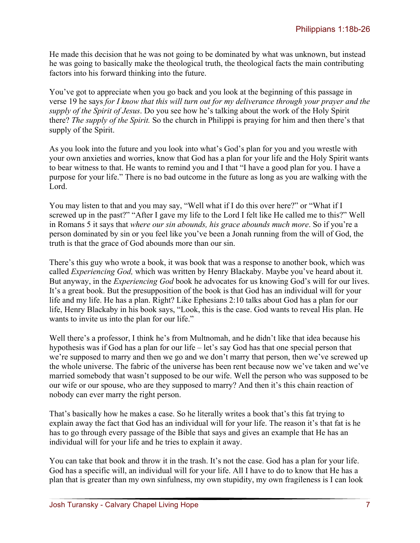He made this decision that he was not going to be dominated by what was unknown, but instead he was going to basically make the theological truth, the theological facts the main contributing factors into his forward thinking into the future.

You've got to appreciate when you go back and you look at the beginning of this passage in verse 19 he says *for I know that this will turn out for my deliverance through your prayer and the supply of the Spirit of Jesus*. Do you see how he's talking about the work of the Holy Spirit there? *The supply of the Spirit.* So the church in Philippi is praying for him and then there's that supply of the Spirit.

As you look into the future and you look into what's God's plan for you and you wrestle with your own anxieties and worries, know that God has a plan for your life and the Holy Spirit wants to bear witness to that. He wants to remind you and I that "I have a good plan for you. I have a purpose for your life." There is no bad outcome in the future as long as you are walking with the Lord.

You may listen to that and you may say, "Well what if I do this over here?" or "What if I screwed up in the past?" "After I gave my life to the Lord I felt like He called me to this?" Well in Romans 5 it says that *where our sin abounds, his grace abounds much more*. So if you're a person dominated by sin or you feel like you've been a Jonah running from the will of God, the truth is that the grace of God abounds more than our sin.

There's this guy who wrote a book, it was book that was a response to another book, which was called *Experiencing God,* which was written by Henry Blackaby. Maybe you've heard about it. But anyway, in the *Experiencing God* book he advocates for us knowing God's will for our lives. It's a great book. But the presupposition of the book is that God has an individual will for your life and my life. He has a plan. Right? Like Ephesians 2:10 talks about God has a plan for our life, Henry Blackaby in his book says, "Look, this is the case. God wants to reveal His plan. He wants to invite us into the plan for our life."

Well there's a professor, I think he's from Multnomah, and he didn't like that idea because his hypothesis was if God has a plan for our life – let's say God has that one special person that we're supposed to marry and then we go and we don't marry that person, then we've screwed up the whole universe. The fabric of the universe has been rent because now we've taken and we've married somebody that wasn't supposed to be our wife. Well the person who was supposed to be our wife or our spouse, who are they supposed to marry? And then it's this chain reaction of nobody can ever marry the right person.

That's basically how he makes a case. So he literally writes a book that's this fat trying to explain away the fact that God has an individual will for your life. The reason it's that fat is he has to go through every passage of the Bible that says and gives an example that He has an individual will for your life and he tries to explain it away.

You can take that book and throw it in the trash. It's not the case. God has a plan for your life. God has a specific will, an individual will for your life. All I have to do to know that He has a plan that is greater than my own sinfulness, my own stupidity, my own fragileness is I can look